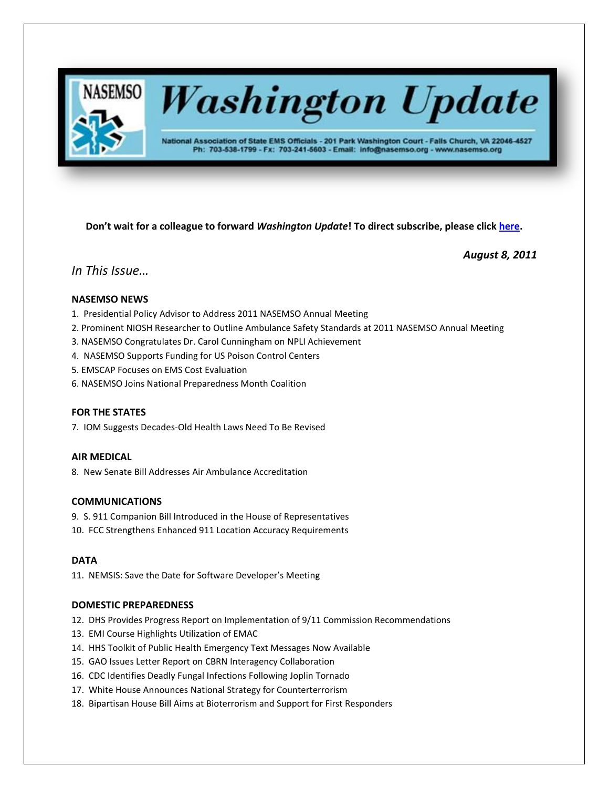

# **Washington Update**

National Association of State EMS Officials - 201 Park Washington Court - Falls Church, VA 22046-4527 Ph: 703-538-1799 - Fx: 703-241-5603 - Email: info@nasemso.org - www.nasemso.org

**Don't wait for a colleague to forward** *Washington Update***! To direct subscribe, please click [here.](http://lists.nasemso.org/read/all_forums/subscribe?name=wu%20)**

*August 8, 2011*

# *In This Issue…*

# **NASEMSO NEWS**

- 1. Presidential Policy Advisor to Address 2011 NASEMSO Annual Meeting
- 2. Prominent NIOSH Researcher to Outline Ambulance Safety Standards at 2011 NASEMSO Annual Meeting
- 3. NASEMSO Congratulates Dr. Carol Cunningham on NPLI Achievement
- 4. NASEMSO Supports Funding for US Poison Control Centers
- 5. EMSCAP Focuses on EMS Cost Evaluation
- 6. NASEMSO Joins National Preparedness Month Coalition

# **FOR THE STATES**

7. IOM Suggests Decades-Old Health Laws Need To Be Revised

# **AIR MEDICAL**

8. New Senate Bill Addresses Air Ambulance Accreditation

# **COMMUNICATIONS**

- 9. S. 911 Companion Bill Introduced in the House of Representatives
- 10. FCC Strengthens Enhanced 911 Location Accuracy Requirements

# **DATA**

11. NEMSIS: Save the Date for Software Developer's Meeting

# **DOMESTIC PREPAREDNESS**

- 12. DHS Provides Progress Report on Implementation of 9/11 Commission Recommendations
- 13. EMI Course Highlights Utilization of EMAC
- 14. HHS Toolkit of Public Health Emergency Text Messages Now Available
- 15. GAO Issues Letter Report on CBRN Interagency Collaboration
- 16. CDC Identifies Deadly Fungal Infections Following Joplin Tornado
- 17. White House Announces National Strategy for Counterterrorism
- 18. Bipartisan House Bill Aims at Bioterrorism and Support for First Responders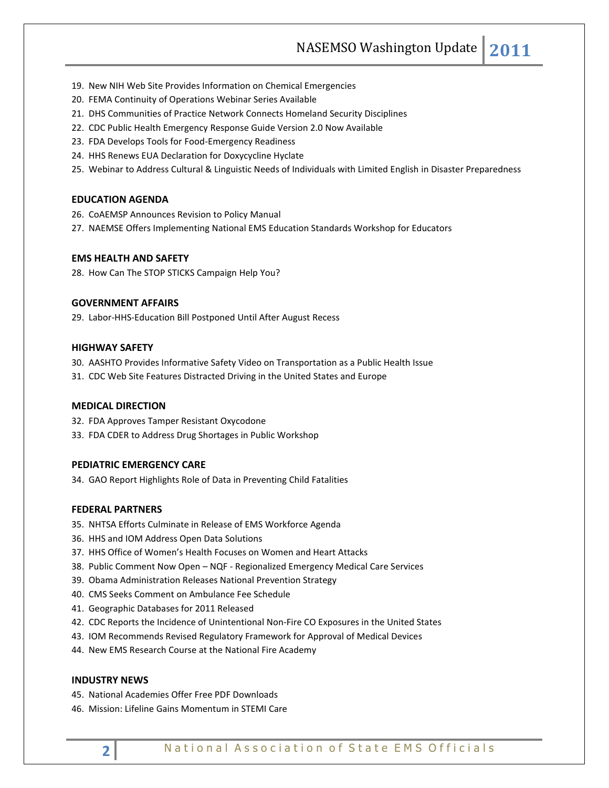NASEMSO Washington Update **2011**

- 19. New NIH Web Site Provides Information on Chemical Emergencies
- 20. FEMA Continuity of Operations Webinar Series Available
- 21. DHS Communities of Practice Network Connects Homeland Security Disciplines
- 22. CDC Public Health Emergency Response Guide Version 2.0 Now Available
- 23. FDA Develops Tools for Food-Emergency Readiness
- 24. HHS Renews EUA Declaration for Doxycycline Hyclate
- 25. Webinar to Address Cultural & Linguistic Needs of Individuals with Limited English in Disaster Preparedness

#### **EDUCATION AGENDA**

- 26. CoAEMSP Announces Revision to Policy Manual
- 27. NAEMSE Offers Implementing National EMS Education Standards Workshop for Educators

# **EMS HEALTH AND SAFETY**

28. How Can The STOP STICKS Campaign Help You?

# **GOVERNMENT AFFAIRS**

29. Labor-HHS-Education Bill Postponed Until After August Recess

# **HIGHWAY SAFETY**

- 30. AASHTO Provides Informative Safety Video on Transportation as a Public Health Issue
- 31. CDC Web Site Features Distracted Driving in the United States and Europe

# **MEDICAL DIRECTION**

- 32. FDA Approves Tamper Resistant Oxycodone
- 33. FDA CDER to Address Drug Shortages in Public Workshop

# **PEDIATRIC EMERGENCY CARE**

34. GAO Report Highlights Role of Data in Preventing Child Fatalities

# **FEDERAL PARTNERS**

- 35. NHTSA Efforts Culminate in Release of EMS Workforce Agenda
- 36. HHS and IOM Address Open Data Solutions
- 37. HHS Office of Women's Health Focuses on Women and Heart Attacks
- 38. Public Comment Now Open NQF Regionalized Emergency Medical Care Services
- 39. Obama Administration Releases National Prevention Strategy
- 40. CMS Seeks Comment on Ambulance Fee Schedule
- 41. Geographic Databases for 2011 Released
- 42. CDC Reports the Incidence of Unintentional Non-Fire CO Exposures in the United States
- 43. IOM Recommends Revised Regulatory Framework for Approval of Medical Devices
- 44. New EMS Research Course at the National Fire Academy

#### **INDUSTRY NEWS**

- 45. National Academies Offer Free PDF Downloads
- 46. Mission: Lifeline Gains Momentum in STEMI Care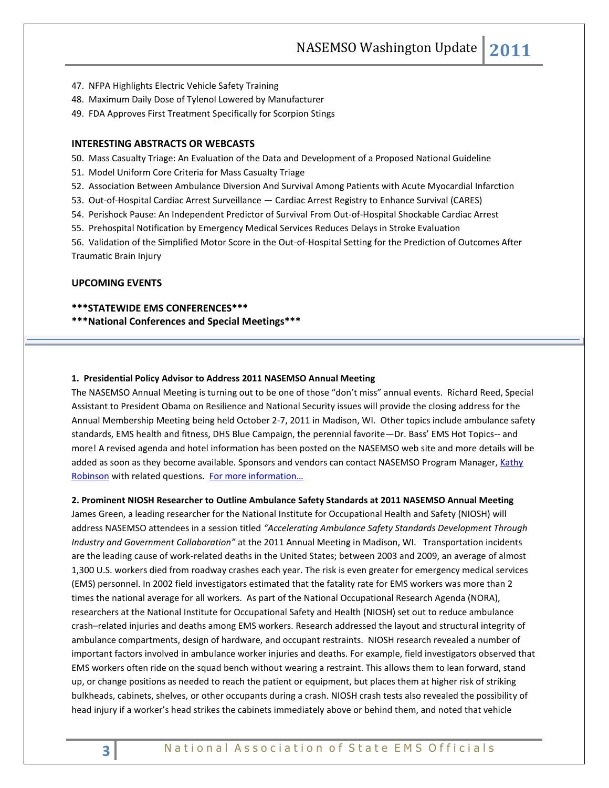NASEMSO Washington Update **2011**

- 47. NFPA Highlights Electric Vehicle Safety Training
- 48. Maximum Daily Dose of Tylenol Lowered by Manufacturer
- 49. FDA Approves First Treatment Specifically for Scorpion Stings

# **INTERESTING ABSTRACTS OR WEBCASTS**

50. Mass Casualty Triage: An Evaluation of the Data and Development of a Proposed National Guideline

- 51. Model Uniform Core Criteria for Mass Casualty Triage
- 52. Association Between Ambulance Diversion And Survival Among Patients with Acute Myocardial Infarction
- 53. Out-of-Hospital Cardiac Arrest Surveillance Cardiac Arrest Registry to Enhance Survival (CARES)
- 54. Perishock Pause: An Independent Predictor of Survival From Out-of-Hospital Shockable Cardiac Arrest
- 55. Prehospital Notification by Emergency Medical Services Reduces Delays in Stroke Evaluation

56. Validation of the Simplified Motor Score in the Out-of-Hospital Setting for the Prediction of Outcomes After Traumatic Brain Injury

#### **UPCOMING EVENTS**

#### **\*\*\*STATEWIDE EMS CONFERENCES\*\*\***

#### **\*\*\*National Conferences and Special Meetings\*\*\***

#### **1. Presidential Policy Advisor to Address 2011 NASEMSO Annual Meeting**

The NASEMSO Annual Meeting is turning out to be one of those "don't miss" annual events. Richard Reed, Special Assistant to President Obama on Resilience and National Security issues will provide the closing address for the Annual Membership Meeting being held October 2-7, 2011 in Madison, WI. Other topics include ambulance safety standards, EMS health and fitness, DHS Blue Campaign, the perennial favorite—Dr. Bass' EMS Hot Topics-- and more! A revised agenda and hotel information has been posted on the NASEMSO web site and more details will be added as soon as they become available. Sponsors and vendors can contact NASEMSO Program Manager, Kathy [Robinson](mailto:robinson@nasemso.org) with related questions. For more information...

#### **2. Prominent NIOSH Researcher to Outline Ambulance Safety Standards at 2011 NASEMSO Annual Meeting**

James Green, a leading researcher for the National Institute for Occupational Health and Safety (NIOSH) will address NASEMSO attendees in a session titled *"Accelerating Ambulance Safety Standards Development Through Industry and Government Collaboration"* at the 2011 Annual Meeting in Madison, WI. Transportation incidents are the leading cause of work-related deaths in the United States; between 2003 and 2009, an average of almost 1,300 U.S. workers died from roadway crashes each year. The risk is even greater for emergency medical services (EMS) personnel. In 2002 field investigators estimated that the fatality rate for EMS workers was more than 2 times the national average for all workers. As part of the National Occupational Research Agenda (NORA), researchers at the National Institute for Occupational Safety and Health (NIOSH) set out to reduce ambulance crash–related injuries and deaths among EMS workers. Research addressed the layout and structural integrity of ambulance compartments, design of hardware, and occupant restraints. NIOSH research revealed a number of important factors involved in ambulance worker injuries and deaths. For example, field investigators observed that EMS workers often ride on the squad bench without wearing a restraint. This allows them to lean forward, stand up, or change positions as needed to reach the patient or equipment, but places them at higher risk of striking bulkheads, cabinets, shelves, or other occupants during a crash. NIOSH crash tests also revealed the possibility of head injury if a worker's head strikes the cabinets immediately above or behind them, and noted that vehicle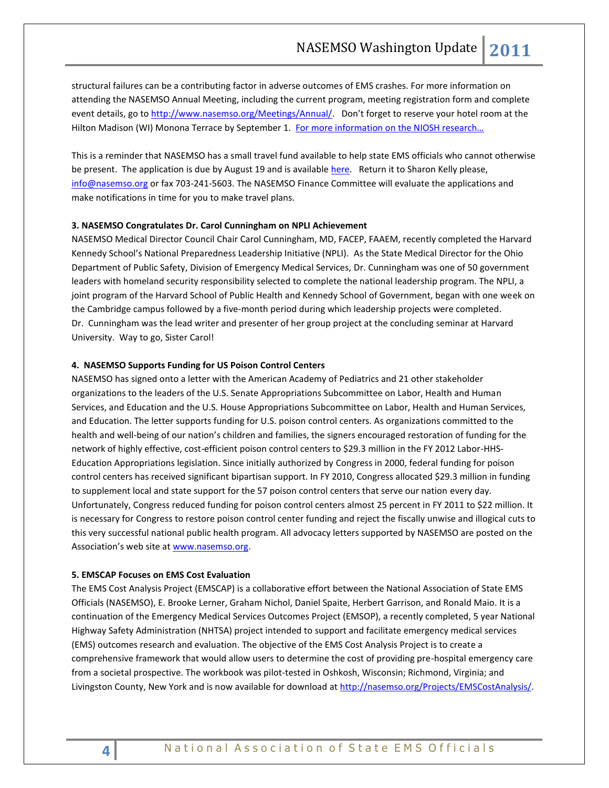structural failures can be a contributing factor in adverse outcomes of EMS crashes. For more information on attending the NASEMSO Annual Meeting, including the current program, meeting registration form and complete event details, go to [http://www.nasemso.org/Meetings/Annual/.](http://www.nasemso.org/Meetings/Annual/) Don't forget to reserve your hotel room at the Hilton Madison (WI) Monona Terrace by September 1. For more information on the NIOSH research...

This is a reminder that NASEMSO has a small travel fund available to help state EMS officials who cannot otherwise be present. The application is due by August 19 and is available [here.](http://www.nasemso.org/Meetings/Annual/documents/TravelSupportApplicationForm2011.doc) Return it to Sharon Kelly please, [info@nasemso.org](mailto:info@nasemso.org) or fax 703-241-5603. The NASEMSO Finance Committee will evaluate the applications and make notifications in time for you to make travel plans.

#### **3. NASEMSO Congratulates Dr. Carol Cunningham on NPLI Achievement**

NASEMSO Medical Director Council Chair Carol Cunningham, MD, FACEP, FAAEM, recently completed the Harvard Kennedy School's National Preparedness Leadership Initiative (NPLI). As the State Medical Director for the Ohio Department of Public Safety, Division of Emergency Medical Services, Dr. Cunningham was one of 50 government leaders with homeland security responsibility selected to complete the national leadership program. The NPLI, a joint program of the Harvard School of Public Health and Kennedy School of Government, began with one week on the Cambridge campus followed by a five-month period during which leadership projects were completed. Dr. Cunningham was the lead writer and presenter of her group project at the concluding seminar at Harvard University. Way to go, Sister Carol!

#### **4. NASEMSO Supports Funding for US Poison Control Centers**

NASEMSO has signed onto a letter with the American Academy of Pediatrics and 21 other stakeholder organizations to the leaders of the U.S. Senate Appropriations Subcommittee on Labor, Health and Human Services, and Education and the U.S. House Appropriations Subcommittee on Labor, Health and Human Services, and Education. The letter supports funding for U.S. poison control centers. As organizations committed to the health and well-being of our nation's children and families, the signers encouraged restoration of funding for the network of highly effective, cost-efficient poison control centers to \$29.3 million in the FY 2012 Labor-HHS-Education Appropriations legislation. Since initially authorized by Congress in 2000, federal funding for poison control centers has received significant bipartisan support. In FY 2010, Congress allocated \$29.3 million in funding to supplement local and state support for the 57 poison control centers that serve our nation every day. Unfortunately, Congress reduced funding for poison control centers almost 25 percent in FY 2011 to \$22 million. It is necessary for Congress to restore poison control center funding and reject the fiscally unwise and illogical cuts to this very successful national public health program. All advocacy letters supported by NASEMSO are posted on the Association's web site at [www.nasemso.org.](http://www.nasemso.org/)

#### **5. EMSCAP Focuses on EMS Cost Evaluation**

The EMS Cost Analysis Project (EMSCAP) is a collaborative effort between the National Association of State EMS Officials (NASEMSO), E. Brooke Lerner, Graham Nichol, Daniel Spaite, Herbert Garrison, and Ronald Maio. It is a continuation of the Emergency Medical Services Outcomes Project (EMSOP), a recently completed, 5 year National Highway Safety Administration (NHTSA) project intended to support and facilitate emergency medical services (EMS) outcomes research and evaluation. The objective of the EMS Cost Analysis Project is to create a comprehensive framework that would allow users to determine the cost of providing pre-hospital emergency care from a societal prospective. The workbook was pilot-tested in Oshkosh, Wisconsin; Richmond, Virginia; and Livingston County, New York and is now available for download at [http://nasemso.org/Projects/EMSCostAnalysis/.](http://nasemso.org/Projects/EMSCostAnalysis/)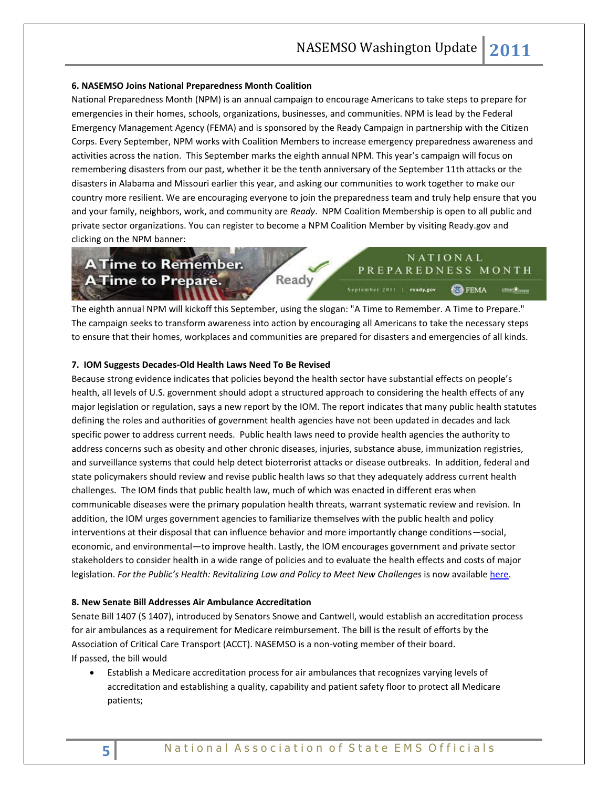#### **6. NASEMSO Joins National Preparedness Month Coalition**

National Preparedness Month (NPM) is an annual campaign to encourage Americans to take steps to prepare for emergencies in their homes, schools, organizations, businesses, and communities. NPM is lead by the Federal Emergency Management Agency (FEMA) and is sponsored by the Ready Campaign in partnership with the Citizen Corps. Every September, NPM works with Coalition Members to increase emergency preparedness awareness and activities across the nation. This September marks the eighth annual NPM. This year's campaign will focus on remembering disasters from our past, whether it be the tenth anniversary of the September 11th attacks or the disasters in Alabama and Missouri earlier this year, and asking our communities to work together to make our country more resilient. We are encouraging everyone to join the preparedness team and truly help ensure that you and your family, neighbors, work, and community are *Ready*. NPM Coalition Membership is open to all public and private sector organizations. You can register to become a NPM Coalition Member by visiting Ready.gov and clicking on the NPM banner:

# **A Time to Remember. A Time to Prepare.**

NATIONAL PREPAREDNESS MONTH September 2011 | ready.gov FEMA characters

The eighth annual NPM will kickoff this September, using the slogan: "A Time to Remember. A Time to Prepare." The campaign seeks to transform awareness into action by encouraging all Americans to take the necessary steps to ensure that their homes, workplaces and communities are prepared for disasters and emergencies of all kinds.

Ready

#### **7. IOM Suggests Decades-Old Health Laws Need To Be Revised**

Because strong evidence indicates that policies beyond the health sector have substantial effects on people's health, all levels of U.S. government should adopt a structured approach to considering the health effects of any major legislation or regulation, says a new report by the IOM. The report indicates that many public health statutes defining the roles and authorities of government health agencies have not been updated in decades and lack specific power to address current needs. Public health laws need to provide health agencies the authority to address concerns such as obesity and other chronic diseases, injuries, substance abuse, immunization registries, and surveillance systems that could help detect bioterrorist attacks or disease outbreaks. In addition, federal and state policymakers should review and revise public health laws so that they adequately address current health challenges. The IOM finds that public health law, much of which was enacted in different eras when communicable diseases were the primary population health threats, warrant systematic review and revision. In addition, the IOM urges government agencies to familiarize themselves with the public health and policy interventions at their disposal that can influence behavior and more importantly change conditions—social, economic, and environmental—to improve health. Lastly, the IOM encourages government and private sector stakeholders to consider health in a wide range of policies and to evaluate the health effects and costs of major legislation. For the Public's Health: Revitalizing Law and Policy to Meet New Challenges is now available [here.](http://www.iom.edu/Reports/2011/For-the-Publics-Health-Revitalizing-Law-and-Policy-to-Meet-New-Challenges.aspx)

# **8. New Senate Bill Addresses Air Ambulance Accreditation**

Senate Bill 1407 (S 1407), introduced by Senators Snowe and Cantwell, would establish an accreditation process for air ambulances as a requirement for Medicare reimbursement. The bill is the result of efforts by the Association of Critical Care Transport (ACCT). NASEMSO is a non-voting member of their board. If passed, the bill would

 Establish a Medicare accreditation process for air ambulances that recognizes varying levels of accreditation and establishing a quality, capability and patient safety floor to protect all Medicare patients;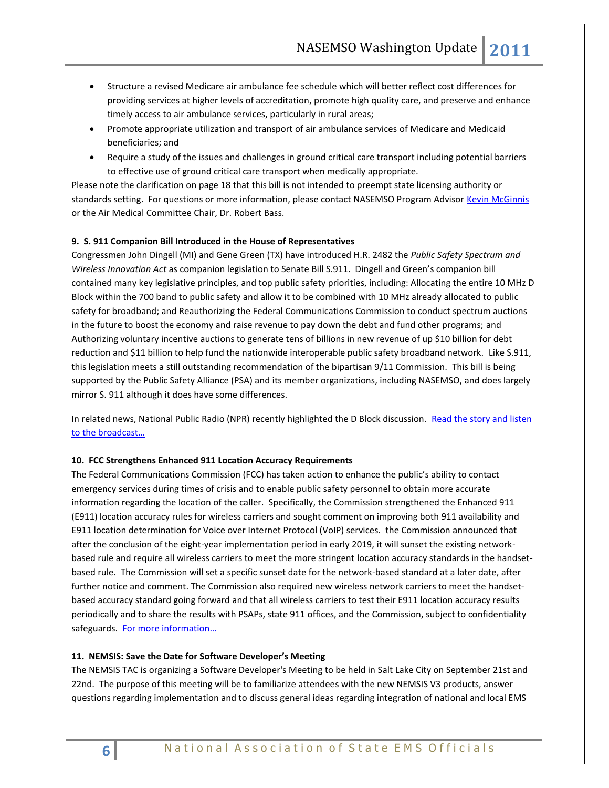- Structure a revised Medicare air ambulance fee schedule which will better reflect cost differences for providing services at higher levels of accreditation, promote high quality care, and preserve and enhance timely access to air ambulance services, particularly in rural areas;
- Promote appropriate utilization and transport of air ambulance services of Medicare and Medicaid beneficiaries; and
- Require a study of the issues and challenges in ground critical care transport including potential barriers to effective use of ground critical care transport when medically appropriate.

Please note the clarification on page 18 that this bill is not intended to preempt state licensing authority or standards setting. For questions or more information, please contact NASEMSO Program Advisor [Kevin McGinnis](mailto:mcginnis@nasemso.org) or the Air Medical Committee Chair, Dr. Robert Bass.

# **9. S. 911 Companion Bill Introduced in the House of Representatives**

Congressmen John Dingell (MI) and Gene Green (TX) have introduced H.R. 2482 the *Public Safety Spectrum and Wireless Innovation Act* as companion legislation to Senate Bill S.911. Dingell and Green's companion bill contained many key legislative principles, and top public safety priorities, including: Allocating the entire 10 MHz D Block within the 700 band to public safety and allow it to be combined with 10 MHz already allocated to public safety for broadband; and Reauthorizing the Federal Communications Commission to conduct spectrum auctions in the future to boost the economy and raise revenue to pay down the debt and fund other programs; and Authorizing voluntary incentive auctions to generate tens of billions in new revenue of up \$10 billion for debt reduction and \$11 billion to help fund the nationwide interoperable public safety broadband network. Like S.911, this legislation meets a still outstanding recommendation of the bipartisan 9/11 Commission. This bill is being supported by the Public Safety Alliance (PSA) and its member organizations, including NASEMSO, and does largely mirror S. 911 although it does have some differences.

In related news, National Public Radio (NPR) recently highlighted the D Block discussion. Read the story and listen [to the broadcast…](http://www.npr.org/2011/07/13/137791493/many-first-responders-still-struggle-to-communicate)

#### **10. FCC Strengthens Enhanced 911 Location Accuracy Requirements**

The Federal Communications Commission (FCC) has taken action to enhance the public's ability to contact emergency services during times of crisis and to enable public safety personnel to obtain more accurate information regarding the location of the caller. Specifically, the Commission strengthened the Enhanced 911 (E911) location accuracy rules for wireless carriers and sought comment on improving both 911 availability and E911 location determination for Voice over Internet Protocol (VoIP) services. the Commission announced that after the conclusion of the eight-year implementation period in early 2019, it will sunset the existing networkbased rule and require all wireless carriers to meet the more stringent location accuracy standards in the handsetbased rule. The Commission will set a specific sunset date for the network-based standard at a later date, after further notice and comment. The Commission also required new wireless network carriers to meet the handsetbased accuracy standard going forward and that all wireless carriers to test their E911 location accuracy results periodically and to share the results with PSAPs, state 911 offices, and the Commission, subject to confidentiality safeguards. For more information...

#### **11. NEMSIS: Save the Date for Software Developer's Meeting**

The NEMSIS TAC is organizing a Software Developer's Meeting to be held in Salt Lake City on September 21st and 22nd. The purpose of this meeting will be to familiarize attendees with the new NEMSIS V3 products, answer questions regarding implementation and to discuss general ideas regarding integration of national and local EMS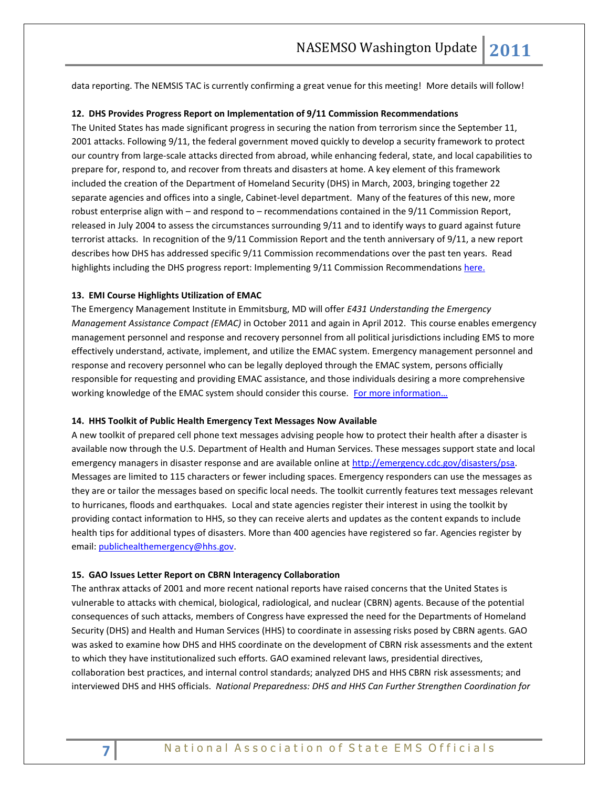data reporting. The NEMSIS TAC is currently confirming a great venue for this meeting! More details will follow!

#### **12. DHS Provides Progress Report on Implementation of 9/11 Commission Recommendations**

The United States has made significant progress in securing the nation from terrorism since the September 11, 2001 attacks. Following 9/11, the federal government moved quickly to develop a security framework to protect our country from large-scale attacks directed from abroad, while enhancing federal, state, and local capabilities to prepare for, respond to, and recover from threats and disasters at home. A key element of this framework included the creation of the Department of Homeland Security (DHS) in March, 2003, bringing together 22 separate agencies and offices into a single, Cabinet-level department. Many of the features of this new, more robust enterprise align with – and respond to – recommendations contained in the 9/11 Commission Report, released in July 2004 to assess the circumstances surrounding 9/11 and to identify ways to guard against future terrorist attacks. In recognition of the 9/11 Commission Report and the tenth anniversary of 9/11, a new report describes how DHS has addressed specific 9/11 Commission recommendations over the past ten years. Read highlights including the DHS progress report: Implementing 9/11 Commission Recommendation[s here.](http://www.dhs.gov/files/publications/preventing-terrorism-and-enhancing-security-progress-since-9-11.shtm)

#### **13. EMI Course Highlights Utilization of EMAC**

The Emergency Management Institute in Emmitsburg, MD will offer *E431 Understanding the Emergency Management Assistance Compact (EMAC)* in October 2011 and again in April 2012. This course enables emergency management personnel and response and recovery personnel from all political jurisdictions including EMS to more effectively understand, activate, implement, and utilize the EMAC system. Emergency management personnel and response and recovery personnel who can be legally deployed through the EMAC system, persons officially responsible for requesting and providing EMAC assistance, and those individuals desiring a more comprehensive working knowledge of the EMAC system should consider this course. For more information...

#### **14. HHS Toolkit of Public Health Emergency Text Messages Now Available**

A new toolkit of prepared cell phone text messages advising people how to protect their health after a disaster is available now through the U.S. Department of Health and Human Services. These messages support state and local emergency managers in disaster response and are available online at [http://emergency.cdc.gov/disasters/psa.](http://emergency.cdc.gov/disasters/psa) Messages are limited to 115 characters or fewer including spaces. Emergency responders can use the messages as they are or tailor the messages based on specific local needs. The toolkit currently features text messages relevant to hurricanes, floods and earthquakes. Local and state agencies register their interest in using the toolkit by providing contact information to HHS, so they can receive alerts and updates as the content expands to include health tips for additional types of disasters. More than 400 agencies have registered so far. Agencies register by email[: publichealthemergency@hhs.gov.](mailto:publichealthemergency@hhs.gov)

#### **15. GAO Issues Letter Report on CBRN Interagency Collaboration**

The anthrax attacks of 2001 and more recent national reports have raised concerns that the United States is vulnerable to attacks with chemical, biological, radiological, and nuclear (CBRN) agents. Because of the potential consequences of such attacks, members of Congress have expressed the need for the Departments of Homeland Security (DHS) and Health and Human Services (HHS) to coordinate in assessing risks posed by CBRN agents. GAO was asked to examine how DHS and HHS coordinate on the development of CBRN risk assessments and the extent to which they have institutionalized such efforts. GAO examined relevant laws, presidential directives, collaboration best practices, and internal control standards; analyzed DHS and HHS CBRN risk assessments; and interviewed DHS and HHS officials. *National Preparedness: DHS and HHS Can Further Strengthen Coordination for*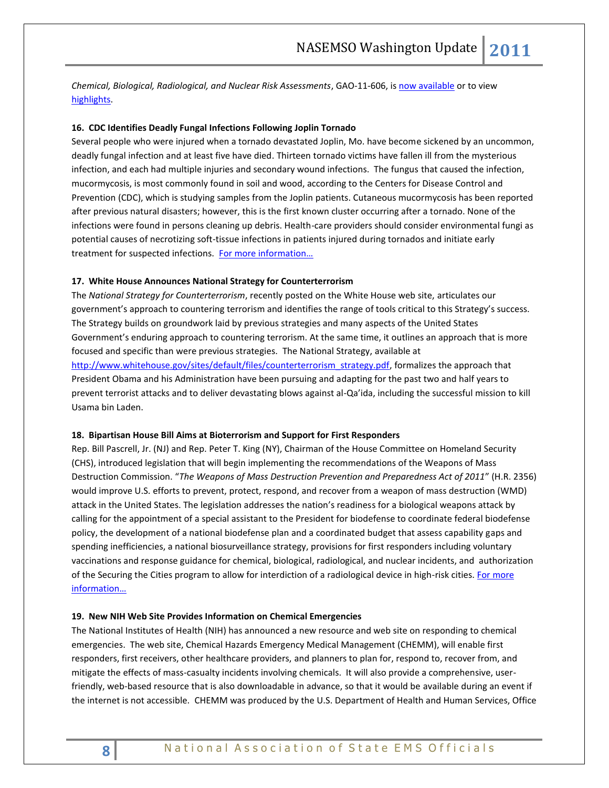*Chemical, Biological, Radiological, and Nuclear Risk Assessments*, GAO-11-606, is [now available](http://www.gao.gov/products/GAO-11-60) or to view [highlights.](http://www.gao.gov/highlights/d11606high.pdf) 

# **16. CDC Identifies Deadly Fungal Infections Following Joplin Tornado**

Several people who were injured when a tornado devastated Joplin, Mo. have become sickened by an uncommon, deadly fungal infection and at least five have died. Thirteen tornado victims have fallen ill from the mysterious infection, and each had multiple injuries and secondary wound infections. The fungus that caused the infection, mucormycosis, is most commonly found in soil and wood, according to the Centers for Disease Control and Prevention (CDC), which is studying samples from the Joplin patients. Cutaneous mucormycosis has been reported after previous natural disasters; however, this is the first known cluster occurring after a tornado. None of the infections were found in persons cleaning up debris. Health-care providers should consider environmental fungi as potential causes of necrotizing soft-tissue infections in patients injured during tornados and initiate early treatment for suspected infections. [For more information…](http://www.cdc.gov/mmwr/preview/mmwrhtml/mm6029a5.htm)

#### **17. White House Announces National Strategy for Counterterrorism**

The *National Strategy for Counterterrorism*, recently posted on the White House web site, articulates our government's approach to countering terrorism and identifies the range of tools critical to this Strategy's success. The Strategy builds on groundwork laid by previous strategies and many aspects of the United States Government's enduring approach to countering terrorism. At the same time, it outlines an approach that is more focused and specific than were previous strategies. The National Strategy, available at [http://www.whitehouse.gov/sites/default/files/counterterrorism\\_strategy.pdf,](http://www.whitehouse.gov/sites/default/files/counterterrorism_strategy.pdf) formalizes the approach that President Obama and his Administration have been pursuing and adapting for the past two and half years to prevent terrorist attacks and to deliver devastating blows against al-Qa'ida, including the successful mission to kill Usama bin Laden.

#### **18. Bipartisan House Bill Aims at Bioterrorism and Support for First Responders**

Rep. Bill Pascrell, Jr. (NJ) and Rep. Peter T. King (NY), Chairman of the House Committee on Homeland Security (CHS), introduced legislation that will begin implementing the recommendations of the Weapons of Mass Destruction Commission. "*The Weapons of Mass Destruction Prevention and Preparedness Act of 2011*" (H.R. 2356) would improve U.S. efforts to prevent, protect, respond, and recover from a weapon of mass destruction (WMD) attack in the United States. The legislation addresses the nation's readiness for a biological weapons attack by calling for the appointment of a special assistant to the President for biodefense to coordinate federal biodefense policy, the development of a national biodefense plan and a coordinated budget that assess capability gaps and spending inefficiencies, a national biosurveillance strategy, provisions for first responders including voluntary vaccinations and response guidance for chemical, biological, radiological, and nuclear incidents, and authorization of the Securing the Cities program to allow for interdiction of a radiological device in high-risk cities[. For more](http://thomas.loc.gov/cgi-bin/bdquery/z?d112:h.r.2356:)  [information…](http://thomas.loc.gov/cgi-bin/bdquery/z?d112:h.r.2356:)

#### **19. New NIH Web Site Provides Information on Chemical Emergencies**

The National Institutes of Health (NIH) has announced a new resource and web site on responding to chemical emergencies. The web site, Chemical Hazards Emergency Medical Management (CHEMM), will enable first responders, first receivers, other healthcare providers, and planners to plan for, respond to, recover from, and mitigate the effects of mass-casualty incidents involving chemicals. It will also provide a comprehensive, userfriendly, web-based resource that is also downloadable in advance, so that it would be available during an event if the internet is not accessible. CHEMM was produced by the U.S. Department of Health and Human Services, Office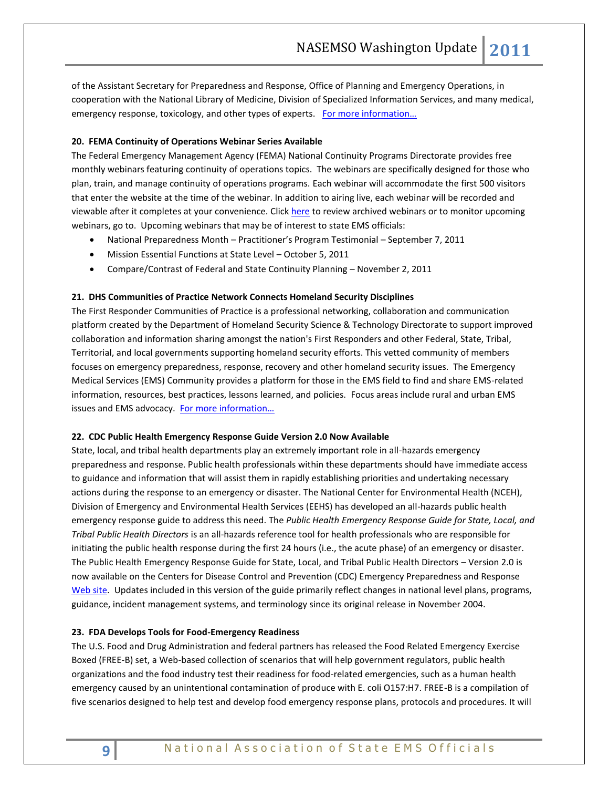of the Assistant Secretary for Preparedness and Response, Office of Planning and Emergency Operations, in cooperation with the National Library of Medicine, Division of Specialized Information Services, and many medical, emergency response, toxicology, and other types of experts. For more information...

# **20. FEMA Continuity of Operations Webinar Series Available**

The Federal Emergency Management Agency (FEMA) National Continuity Programs Directorate provides free monthly webinars featuring continuity of operations topics. The webinars are specifically designed for those who plan, train, and manage continuity of operations programs. Each webinar will accommodate the first 500 visitors that enter the website at the time of the webinar. In addition to airing live, each webinar will be recorded and viewable after it completes at your convenience. Click [here](http://www.fema.gov/about/org/ncp/coop/webinars.shtm) to review archived webinars or to monitor upcoming webinars, go to. Upcoming webinars that may be of interest to state EMS officials:

- National Preparedness Month Practitioner's Program Testimonial September 7, 2011
- Mission Essential Functions at State Level October 5, 2011
- Compare/Contrast of Federal and State Continuity Planning November 2, 2011

#### **21. DHS Communities of Practice Network Connects Homeland Security Disciplines**

The First Responder Communities of Practice is a professional networking, collaboration and communication platform created by the Department of Homeland Security Science & Technology Directorate to support improved collaboration and information sharing amongst the nation's First Responders and other Federal, State, Tribal, Territorial, and local governments supporting homeland security efforts. This vetted community of members focuses on emergency preparedness, response, recovery and other homeland security issues. The Emergency Medical Services (EMS) Community provides a platform for those in the EMS field to find and share EMS-related information, resources, best practices, lessons learned, and policies. Focus areas include rural and urban EMS issues and EMS advocacy. For more information...

#### **22. CDC Public Health Emergency Response Guide Version 2.0 Now Available**

State, local, and tribal health departments play an extremely important role in all-hazards emergency preparedness and response. Public health professionals within these departments should have immediate access to guidance and information that will assist them in rapidly establishing priorities and undertaking necessary actions during the response to an emergency or disaster. The National Center for Environmental Health (NCEH), Division of Emergency and Environmental Health Services (EEHS) has developed an all-hazards public health emergency response guide to address this need. The *Public Health Emergency Response Guide for State, Local, and Tribal Public Health Directors* is an all-hazards reference tool for health professionals who are responsible for initiating the public health response during the first 24 hours (i.e., the acute phase) of an emergency or disaster. The Public Health Emergency Response Guide for State, Local, and Tribal Public Health Directors – Version 2.0 is now available on the Centers for Disease Control and Prevention (CDC) Emergency Preparedness and Response [Web site.](http://emergency.cdc.gov/planning/responseguide.asp) Updates included in this version of the guide primarily reflect changes in national level plans, programs, guidance, incident management systems, and terminology since its original release in November 2004.

#### **23. FDA Develops Tools for Food-Emergency Readiness**

The U.S. Food and Drug Administration and federal partners has released the Food Related Emergency Exercise Boxed (FREE-B) set, a Web-based collection of scenarios that will help government regulators, public health organizations and the food industry test their readiness for food-related emergencies, such as a human health emergency caused by an unintentional contamination of produce with E. coli O157:H7. FREE-B is a compilation of five scenarios designed to help test and develop food emergency response plans, protocols and procedures. It will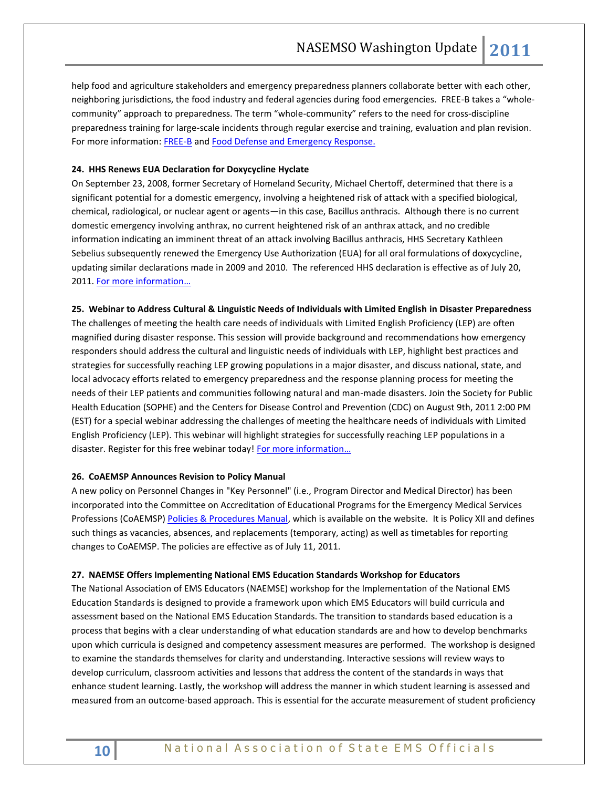help food and agriculture stakeholders and emergency preparedness planners collaborate better with each other, neighboring jurisdictions, the food industry and federal agencies during food emergencies. FREE-B takes a "wholecommunity" approach to preparedness. The term "whole-community" refers to the need for cross-discipline preparedness training for large-scale incidents through regular exercise and training, evaluation and plan revision. For more information: [FREE-B](http://www.fda.gov/Food/FoodDefense/Training/ucm216741.htm) and [Food Defense and Emergency Response.](http://www.fda.gov/Food/FoodDefense/default.htm)

# **24. HHS Renews EUA Declaration for Doxycycline Hyclate**

On September 23, 2008, former Secretary of Homeland Security, Michael Chertoff, determined that there is a significant potential for a domestic emergency, involving a heightened risk of attack with a specified biological, chemical, radiological, or nuclear agent or agents—in this case, Bacillus anthracis. Although there is no current domestic emergency involving anthrax, no current heightened risk of an anthrax attack, and no credible information indicating an imminent threat of an attack involving Bacillus anthracis, HHS Secretary Kathleen Sebelius subsequently renewed the Emergency Use Authorization (EUA) for all oral formulations of doxycycline, updating similar declarations made in 2009 and 2010. The referenced HHS declaration is effective as of July 20, 2011. [For more information](http://frwebgate1.access.gpo.gov/cgi-bin/PDFgate.cgi?WAISdocID=QJSSIJ/1/2/0&WAISaction=retrieve)…

#### **25. Webinar to Address Cultural & Linguistic Needs of Individuals with Limited English in Disaster Preparedness**

The challenges of meeting the health care needs of individuals with Limited English Proficiency (LEP) are often magnified during disaster response. This session will provide background and recommendations how emergency responders should address the cultural and linguistic needs of individuals with LEP, highlight best practices and strategies for successfully reaching LEP growing populations in a major disaster, and discuss national, state, and local advocacy efforts related to emergency preparedness and the response planning process for meeting the needs of their LEP patients and communities following natural and man-made disasters. Join the Society for Public Health Education (SOPHE) and the Centers for Disease Control and Prevention (CDC) on August 9th, 2011 2:00 PM (EST) for a special webinar addressing the challenges of meeting the healthcare needs of individuals with Limited English Proficiency (LEP). This webinar will highlight strategies for successfully reaching LEP populations in a disaster. Register for this free webinar today! [For more information](http://events.r20.constantcontact.com/register/event?llr=pf7m85dab&oeidk=a07e4cgwwbs2020a1b6)...

# **26. CoAEMSP Announces Revision to Policy Manual**

A new policy on Personnel Changes in "Key Personnel" (i.e., Program Director and Medical Director) has been incorporated into the Committee on Accreditation of Educational Programs for the Emergency Medical Services Professions (CoAEMSP[\) Policies & Procedures Manual,](http://r20.rs6.net/tn.jsp?llr=5sz87kdab&et=1106518858139&s=1704&e=001wFfWUrtLAp1VNU_2mjzFR7Prd997aHJYp9g4a1lHcY0aAT_C3wqwk4aqPCv1Qgr14nz4TIVCyDAWGcqdeyJQC5QnKPbb0roQSaAsSiSkeyHVgFImukyUr3Bx8WPxmcH34NQF4Vtb-Wo=) which is available on the website. It is Policy XII and defines such things as vacancies, absences, and replacements (temporary, acting) as well as timetables for reporting changes to CoAEMSP. The policies are effective as of July 11, 2011.

#### **27. NAEMSE Offers Implementing National EMS Education Standards Workshop for Educators**

The National Association of EMS Educators (NAEMSE) workshop for the Implementation of the National EMS Education Standards is designed to provide a framework upon which EMS Educators will build curricula and assessment based on the National EMS Education Standards. The transition to standards based education is a process that begins with a clear understanding of what education standards are and how to develop benchmarks upon which curricula is designed and competency assessment measures are performed. The workshop is designed to examine the standards themselves for clarity and understanding. Interactive sessions will review ways to develop curriculum, classroom activities and lessons that address the content of the standards in ways that enhance student learning. Lastly, the workshop will address the manner in which student learning is assessed and measured from an outcome-based approach. This is essential for the accurate measurement of student proficiency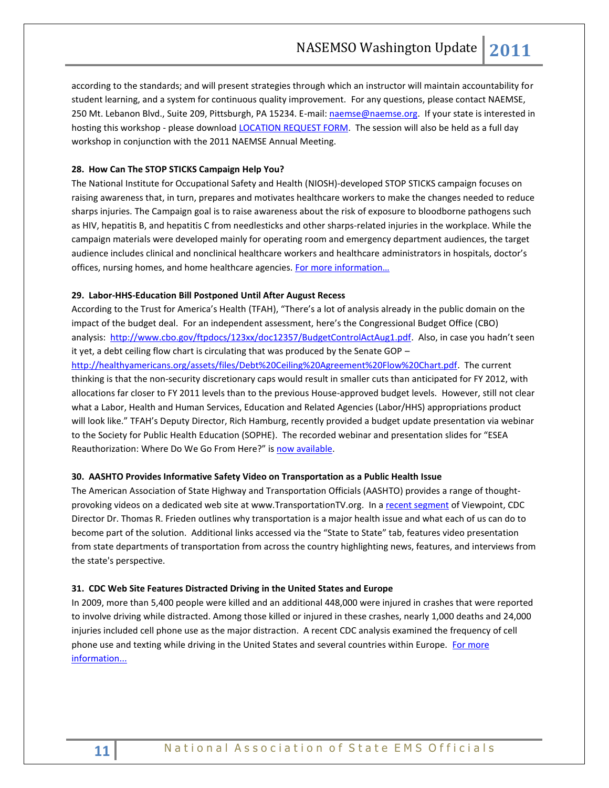according to the standards; and will present strategies through which an instructor will maintain accountability for student learning, and a system for continuous quality improvement. For any questions, please contact NAEMSE, 250 Mt. Lebanon Blvd., Suite 209, Pittsburgh, PA 15234. E-mail[: naemse@naemse.org.](mailto:naemse@naemse.org) If your state is interested in hosting this workshop - please download [LOCATION REQUEST FORM.](http://www.naemse.org/data/Location%20Request%20Form(1).pdf) The session will also be held as a full day workshop in conjunction with the 2011 NAEMSE Annual Meeting.

# **28. How Can The STOP STICKS Campaign Help You?**

The National Institute for Occupational Safety and Health (NIOSH)-developed STOP STICKS campaign focuses on raising awareness that, in turn, prepares and motivates healthcare workers to make the changes needed to reduce sharps injuries. The Campaign goal is to raise awareness about the risk of exposure to bloodborne pathogens such as HIV, hepatitis B, and hepatitis C from needlesticks and other sharps-related injuries in the workplace. While the campaign materials were developed mainly for operating room and emergency department audiences, the target audience includes clinical and nonclinical healthcare workers and healthcare administrators in hospitals, doctor's offices, nursing homes, and home healthcare agencies. [For more information](http://www.cdc.gov/niosh/stopsticks/)...

#### **29. Labor-HHS-Education Bill Postponed Until After August Recess**

According to the Trust for America's Health (TFAH), "There's a lot of analysis already in the public domain on the impact of the budget deal. For an independent assessment, here's the Congressional Budget Office (CBO) analysis: [http://www.cbo.gov/ftpdocs/123xx/doc12357/BudgetControlActAug1.pdf.](http://www.cbo.gov/ftpdocs/123xx/doc12357/BudgetControlActAug1.pdf) Also, in case you hadn't seen it yet, a debt ceiling flow chart is circulating that was produced by the Senate GOP –

[http://healthyamericans.org/assets/files/Debt%20Ceiling%20Agreement%20Flow%20Chart.pdf.](http://healthyamericans.org/assets/files/Debt%20Ceiling%20Agreement%20Flow%20Chart.pdf) The current thinking is that the non-security discretionary caps would result in smaller cuts than anticipated for FY 2012, with allocations far closer to FY 2011 levels than to the previous House-approved budget levels. However, still not clear what a Labor, Health and Human Services, Education and Related Agencies (Labor/HHS) appropriations product will look like." TFAH's Deputy Director, Rich Hamburg, recently provided a budget update presentation via webinar to the Society for Public Health Education (SOPHE). The recorded webinar and presentation slides for "ESEA Reauthorization: Where Do We Go From Here?" is [now available.](http://www.sophe.org/webinars.cfm)

# **30. AASHTO Provides Informative Safety Video on Transportation as a Public Health Issue**

The American Association of State Highway and Transportation Officials (AASHTO) provides a range of thoughtprovoking videos on a dedicated web site at [www.TransportationTV.org.](http://www.transportationtv.org/) In a [recent segment](http://www.transportationtv.org/Pages/default.aspx?VideoId=189) of Viewpoint, CDC Director Dr. Thomas R. Frieden outlines why transportation is a major health issue and what each of us can do to become part of the solution. Additional links accessed via the "State to State" tab, features video presentation from state departments of transportation from across the country highlighting news, features, and interviews from the state's perspective.

#### **31. CDC Web Site Features Distracted Driving in the United States and Europe**

In 2009, more than 5,400 people were killed and an additional 448,000 were injured in crashes that were reported to involve driving while distracted. Among those killed or injured in these crashes, nearly 1,000 deaths and 24,000 injuries included cell phone use as the major distraction. A recent CDC analysis examined the frequency of cell phone use and texting while driving in the United States and several countries within Europe. For more [information...](http://www.cdc.gov/Features/dsDistractedDriving/)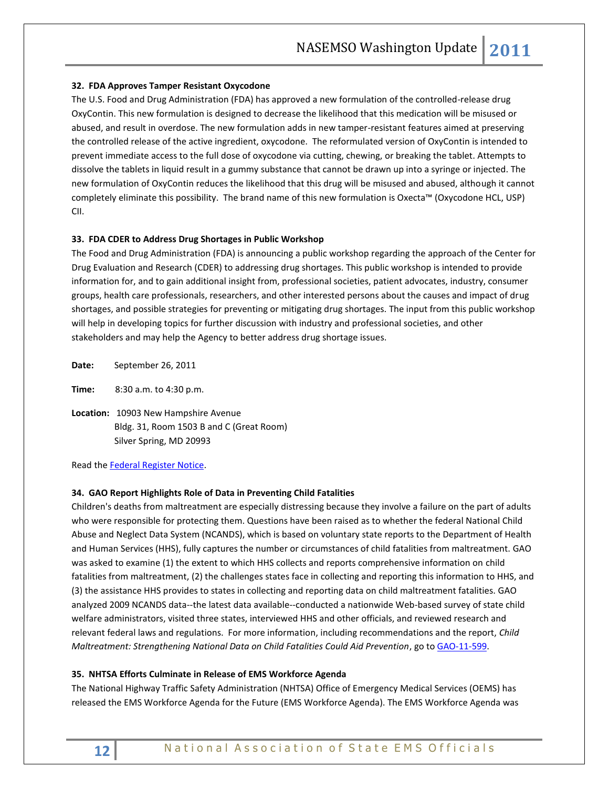# **32. FDA Approves Tamper Resistant Oxycodone**

The U.S. Food and Drug Administration (FDA) has approved a new formulation of the controlled-release drug OxyContin. This new formulation is designed to decrease the likelihood that this medication will be misused or abused, and result in overdose. The new formulation adds in new tamper-resistant features aimed at preserving the controlled release of the active ingredient, oxycodone. The reformulated version of OxyContin is intended to prevent immediate access to the full dose of oxycodone via cutting, chewing, or breaking the tablet. Attempts to dissolve the tablets in liquid result in a gummy substance that cannot be drawn up into a syringe or injected. The new formulation of OxyContin reduces the likelihood that this drug will be misused and abused, although it cannot completely eliminate this possibility. The brand name of this new formulation is Oxecta™ (Oxycodone HCL, USP) CII.

# **33. FDA CDER to Address Drug Shortages in Public Workshop**

The Food and Drug Administration (FDA) is announcing a public workshop regarding the approach of the Center for Drug Evaluation and Research (CDER) to addressing drug shortages. This public workshop is intended to provide information for, and to gain additional insight from, professional societies, patient advocates, industry, consumer groups, health care professionals, researchers, and other interested persons about the causes and impact of drug shortages, and possible strategies for preventing or mitigating drug shortages. The input from this public workshop will help in developing topics for further discussion with industry and professional societies, and other stakeholders and may help the Agency to better address drug shortage issues.

**Date:** September 26, 2011

**Time:** 8:30 a.m. to 4:30 p.m.

**Location:** 10903 New Hampshire Avenue Bldg. 31, Room 1503 B and C (Great Room) Silver Spring, MD 20993

Read th[e Federal Register Notice.](http://www.gpo.gov/fdsys/pkg/FR-2011-07-28/pdf/2011-19031.pdf)

#### **34. GAO Report Highlights Role of Data in Preventing Child Fatalities**

Children's deaths from maltreatment are especially distressing because they involve a failure on the part of adults who were responsible for protecting them. Questions have been raised as to whether the federal National Child Abuse and Neglect Data System (NCANDS), which is based on voluntary state reports to the Department of Health and Human Services (HHS), fully captures the number or circumstances of child fatalities from maltreatment. GAO was asked to examine (1) the extent to which HHS collects and reports comprehensive information on child fatalities from maltreatment, (2) the challenges states face in collecting and reporting this information to HHS, and (3) the assistance HHS provides to states in collecting and reporting data on child maltreatment fatalities. GAO analyzed 2009 NCANDS data--the latest data available--conducted a nationwide Web-based survey of state child welfare administrators, visited three states, interviewed HHS and other officials, and reviewed research and relevant federal laws and regulations. For more information, including recommendations and the report, *Child Maltreatment: Strengthening National Data on Child Fatalities Could Aid Prevention*, go to [GAO-11-599.](http://www.gao.gov/products/GAO-11-599)

#### **35. NHTSA Efforts Culminate in Release of EMS Workforce Agenda**

The National Highway Traffic Safety Administration (NHTSA) Office of Emergency Medical Services (OEMS) has released the EMS Workforce Agenda for the Future (EMS Workforce Agenda). The EMS Workforce Agenda was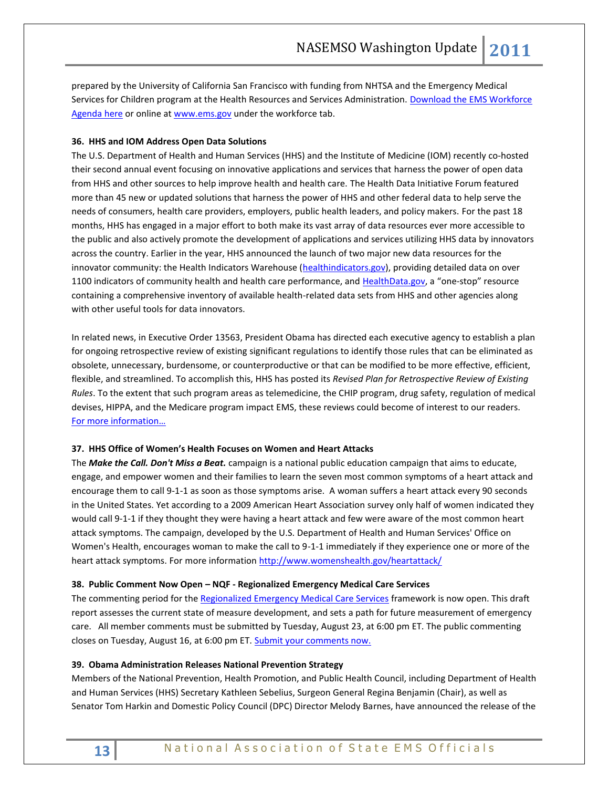prepared by the University of California San Francisco with funding from NHTSA and the Emergency Medical Services for Children program at the Health Resources and Services Administration. [Download the EMS Workforce](http://www.nasemso.org/documents/ems.workforce.agenda.pdf)  [Agenda here](http://www.nasemso.org/documents/ems.workforce.agenda.pdf) or online at [www.ems.gov](http://www.ems.gov/) under the workforce tab.

# **36. HHS and IOM Address Open Data Solutions**

The U.S. Department of Health and Human Services (HHS) and the Institute of Medicine (IOM) recently co-hosted their second annual event focusing on innovative applications and services that harness the power of open data from HHS and other sources to help improve health and health care. The Health Data Initiative Forum featured more than 45 new or updated solutions that harness the power of HHS and other federal data to help serve the needs of consumers, health care providers, employers, public health leaders, and policy makers. For the past 18 months, HHS has engaged in a major effort to both make its vast array of data resources ever more accessible to the public and also actively promote the development of applications and services utilizing HHS data by innovators across the country. Earlier in the year, HHS announced the launch of two major new data resources for the innovator community: the Health Indicators Warehouse [\(healthindicators.gov\)](http://www.healthindicators.gov/), providing detailed data on over 1100 indicators of community health and health care performance, an[d HealthData.gov](http://www.healthdata.gov/), a "one-stop" resource containing a comprehensive inventory of available health-related data sets from HHS and other agencies along with other useful tools for data innovators.

In related news, in Executive Order 13563, President Obama has directed each executive agency to establish a plan for ongoing retrospective review of existing significant regulations to identify those rules that can be eliminated as obsolete, unnecessary, burdensome, or counterproductive or that can be modified to be more effective, efficient, flexible, and streamlined. To accomplish this, HHS has posted its *Revised Plan for Retrospective Review of Existing Rules*. To the extent that such program areas as telemedicine, the CHIP program, drug safety, regulation of medical devises, HIPPA, and the Medicare program impact EMS, these reviews could become of interest to our readers. [For more information…](http://www.hhs.gov/open/execorders/13563/draft/prelim_ret_revplan05232011.pdf)

#### **37. HHS Office of Women's Health Focuses on Women and Heart Attacks**

The *Make the Call. Don't Miss a Beat.* campaign is a national public education campaign that aims to educate, engage, and empower women and their families to learn the seven most common symptoms of a heart attack and encourage them to call 9-1-1 as soon as those symptoms arise. A woman suffers a heart attack every 90 seconds in the United States. Yet according to a 2009 American Heart Association survey only half of women indicated they would call 9-1-1 if they thought they were having a heart attack and few were aware of the most common heart attack symptoms. The campaign, developed by the U.S. Department of Health and Human Services' Office on Women's Health, encourages woman to make the call to 9-1-1 immediately if they experience one or more of the heart attack symptoms. For more informatio[n http://www.womenshealth.gov/heartattack/](http://www.womenshealth.gov/heartattack/)

#### **38. Public Comment Now Open – NQF - Regionalized Emergency Medical Care Services**

The commenting period for th[e Regionalized Emergency Medical Care Services](http://www.qualityforum.org/Projects/n-r/Regionalized_Emergency_Care/Regionalized_Emergency_Care__Phase_1.aspx#t=1&s=&p=) framework is now open. This draft report assesses the current state of measure development, and sets a path for future measurement of emergency care. All member comments must be submitted by Tuesday, August 23, at 6:00 pm ET. The public commenting closes on Tuesday, August 16, at 6:00 pm ET. [Submit your comments now.](http://www.qualityforum.org/Projects/n-r/Regionalized_Emergency_Care/Regionalized_Emergency_Care__Phase_1.aspx?section=PublicandMemberComment2011-07-252011-08-24#t=2&s=&p=4%7C)

# **39. Obama Administration Releases National Prevention Strategy**

Members of the National Prevention, Health Promotion, and Public Health Council, including Department of Health and Human Services (HHS) Secretary Kathleen Sebelius, Surgeon General Regina Benjamin (Chair), as well as Senator Tom Harkin and Domestic Policy Council (DPC) Director Melody Barnes, have announced the release of the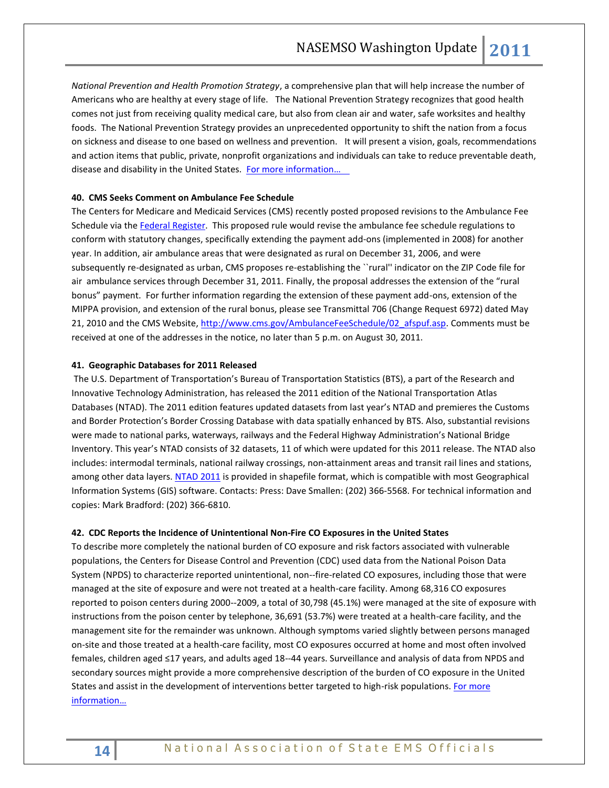*National Prevention and Health Promotion Strategy*, a comprehensive plan that will help increase the number of Americans who are healthy at every stage of life. The National Prevention Strategy recognizes that good health comes not just from receiving quality medical care, but also from clean air and water, safe worksites and healthy foods. The National Prevention Strategy provides an unprecedented opportunity to shift the nation from a focus on sickness and disease to one based on wellness and prevention. It will present a vision, goals, recommendations and action items that public, private, nonprofit organizations and individuals can take to reduce preventable death, disease and disability in the United States. For more information...

# **40. CMS Seeks Comment on Ambulance Fee Schedule**

The Centers for Medicare and Medicaid Services (CMS) recently posted proposed revisions to the Ambulance Fee Schedule via the [Federal Register.](http://www.gpo.gov/fdsys/pkg/FR-2011-07-08/html/2011-16874.htm) This proposed rule would revise the ambulance fee schedule regulations to conform with statutory changes, specifically extending the payment add-ons (implemented in 2008) for another year. In addition, air ambulance areas that were designated as rural on December 31, 2006, and were subsequently re-designated as urban, CMS proposes re-establishing the ``rural'' indicator on the ZIP Code file for air ambulance services through December 31, 2011. Finally, the proposal addresses the extension of the "rural bonus" payment. For further information regarding the extension of these payment add-ons, extension of the MIPPA provision, and extension of the rural bonus, please see Transmittal 706 (Change Request 6972) dated May 21, 2010 and the CMS Website, [http://www.cms.gov/AmbulanceFeeSchedule/02\\_afspuf.asp.](http://www.cms.gov/AmbulanceFeeSchedule/02_afspuf.asp) Comments must be received at one of the addresses in the notice, no later than 5 p.m. on August 30, 2011.

#### **41. Geographic Databases for 2011 Released**

The U.S. Department of Transportation's Bureau of Transportation Statistics (BTS), a part of the Research and Innovative Technology Administration, has released the 2011 edition of the National Transportation Atlas Databases (NTAD). The 2011 edition features updated datasets from last year's NTAD and premieres the Customs and Border Protection's Border Crossing Database with data spatially enhanced by BTS. Also, substantial revisions were made to national parks, waterways, railways and the Federal Highway Administration's National Bridge Inventory. This year's NTAD consists of 32 datasets, 11 of which were updated for this 2011 release. The NTAD also includes: intermodal terminals, national railway crossings, non-attainment areas and transit rail lines and stations, among other data layers. [NTAD 2011](http://www.bts.gov/publications/national_transportation_atlas_database/2011/) is provided in shapefile format, which is compatible with most Geographical Information Systems (GIS) software. Contacts: Press: Dave Smallen: (202) 366-5568. For technical information and copies: Mark Bradford: (202) 366-6810.

#### **42. CDC Reports the Incidence of Unintentional Non-Fire CO Exposures in the United States**

To describe more completely the national burden of CO exposure and risk factors associated with vulnerable populations, the Centers for Disease Control and Prevention (CDC) used data from the National Poison Data System (NPDS) to characterize reported unintentional, non--fire-related CO exposures, including those that were managed at the site of exposure and were not treated at a health-care facility. Among 68,316 CO exposures reported to poison centers during 2000--2009, a total of 30,798 (45.1%) were managed at the site of exposure with instructions from the poison center by telephone, 36,691 (53.7%) were treated at a health-care facility, and the management site for the remainder was unknown. Although symptoms varied slightly between persons managed on-site and those treated at a health-care facility, most CO exposures occurred at home and most often involved females, children aged ≤17 years, and adults aged 18--44 years. Surveillance and analysis of data from NPDS and secondary sources might provide a more comprehensive description of the burden of CO exposure in the United States and assist in the development of interventions better targeted to high-risk populations. For more [information](http://www.cdc.gov/mmwr/preview/mmwrhtml/mm6030a2.htm)…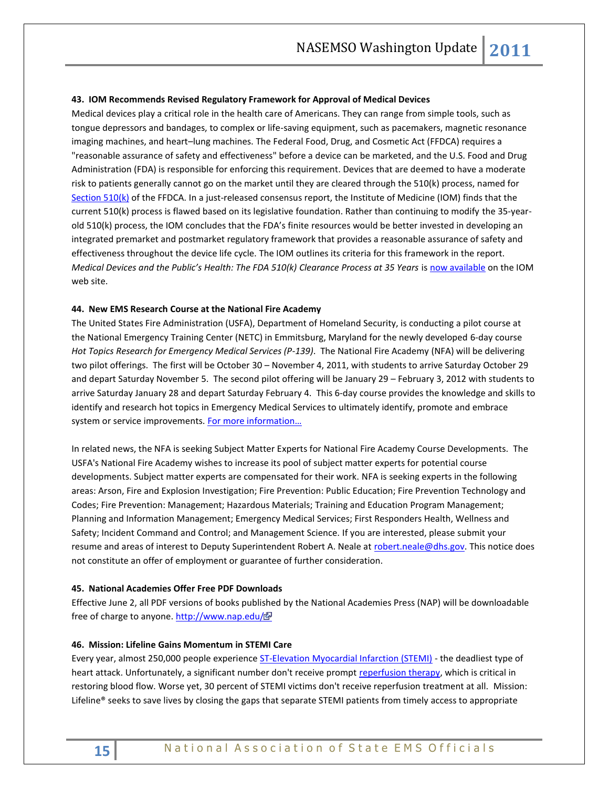#### **43. IOM Recommends Revised Regulatory Framework for Approval of Medical Devices**

Medical devices play a critical role in the health care of Americans. They can range from simple tools, such as tongue depressors and bandages, to complex or life-saving equipment, such as pacemakers, magnetic resonance imaging machines, and heart–lung machines. The Federal Food, Drug, and Cosmetic Act (FFDCA) requires a "reasonable assurance of safety and effectiveness" before a device can be marketed, and the U.S. Food and Drug Administration (FDA) is responsible for enforcing this requirement. Devices that are deemed to have a moderate risk to patients generally cannot go on the market until they are cleared through the 510(k) process, named for [Section 510\(k\)](http://www.fda.gov/RegulatoryInformation/Legislation/FederalFoodDrugandCosmeticActFDCAct/FDCActChapterVDrugsandDevices/ucm109201.htm) of the FFDCA. In a just-released consensus report, the Institute of Medicine (IOM) finds that the current 510(k) process is flawed based on its legislative foundation. Rather than continuing to modify the 35-yearold 510(k) process, the IOM concludes that the FDA's finite resources would be better invested in developing an integrated premarket and postmarket regulatory framework that provides a reasonable assurance of safety and effectiveness throughout the device life cycle. The IOM outlines its criteria for this framework in the report. *Medical Devices and the Public's Health: The FDA 510(k) Clearance Process at 35 Years i[s now available](http://www.iom.edu/Reports/2011/Medical-Devices-and-the-Publics-Health-The-FDA-510k-Clearance-Process-at-35-Years.aspx) on the IOM* web site.

#### **44. New EMS Research Course at the National Fire Academy**

The United States Fire Administration (USFA), Department of Homeland Security, is conducting a pilot course at the National Emergency Training Center (NETC) in Emmitsburg, Maryland for the newly developed 6-day course *Hot Topics Research for Emergency Medical Services (P-139)*. The National Fire Academy (NFA) will be delivering two pilot offerings. The first will be October 30 – November 4, 2011, with students to arrive Saturday October 29 and depart Saturday November 5. The second pilot offering will be January 29 – February 3, 2012 with students to arrive Saturday January 28 and depart Saturday February 4. This 6-day course provides the knowledge and skills to identify and research hot topics in Emergency Medical Services to ultimately identify, promote and embrace system or service improvements. For more information...

In related news, the NFA is seeking Subject Matter Experts for National Fire Academy Course Developments. The USFA's National Fire Academy wishes to increase its pool of subject matter experts for potential course developments. Subject matter experts are compensated for their work. NFA is seeking experts in the following areas: Arson, Fire and Explosion Investigation; Fire Prevention: Public Education; Fire Prevention Technology and Codes; Fire Prevention: Management; Hazardous Materials; Training and Education Program Management; Planning and Information Management; Emergency Medical Services; First Responders Health, Wellness and Safety; Incident Command and Control; and Management Science. If you are interested, please submit your resume and areas of interest to Deputy Superintendent Robert A. Neale at [robert.neale@dhs.gov.](mailto:robert.neale@dhs.gov) This notice does not constitute an offer of employment or guarantee of further consideration.

#### **45. National Academies Offer Free PDF Downloads**

Effective June 2, all PDF versions of books published by the National Academies Press (NAP) will be downloadable free of charge to anyone.<http://www.nap.edu/>

#### **46. Mission: Lifeline Gains Momentum in STEMI Care**

Every year, almost 250,000 people experienc[e ST-Elevation Myocardial Infarction \(STEMI\)](http://www.heart.org/HEARTORG/HealthcareResearch/MissionLifelineHomePage/Mission-Lifeline-Glossary_UCM_308046_Article.jsp#stemi) - the deadliest type of heart attack. Unfortunately, a significant number don't receive prompt [reperfusion therapy,](http://www.heart.org/HEARTORG/HealthcareResearch/MissionLifelineHomePage/Mission-Lifeline-Glossary_UCM_308046_Article.jsp#reperfusion) which is critical in restoring blood flow. Worse yet, 30 percent of STEMI victims don't receive reperfusion treatment at all. Mission: Lifeline® seeks to save lives by closing the gaps that separate STEMI patients from timely access to appropriate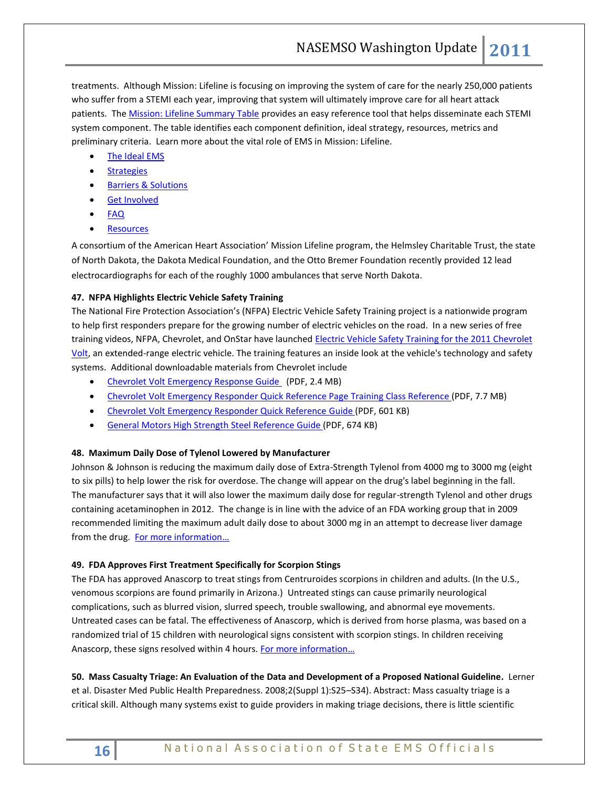treatments. Although Mission: Lifeline is focusing on improving the system of care for the nearly 250,000 patients who suffer from a STEMI each year, improving that system will ultimately improve care for all heart attack patients. The **Mission: Lifeline Summary Table provides an easy reference tool that helps disseminate each STEMI** system component. The table identifies each component definition, ideal strategy, resources, metrics and preliminary criteria. Learn more about the vital role of EMS in Mission: Lifeline.

- [The Ideal EMS](http://www.heart.org/HEARTORG/HealthcareResearch/MissionLifelineHomePage/EMS/Ideal-EMS_UCM_312065_Article.jsp)
- **[Strategies](http://www.heart.org/HEARTORG/HealthcareResearch/MissionLifelineHomePage/EMS/EMS-Strategies-to-Achieve-Ideal_UCM_312066_Article.jsp)**
- [Barriers & Solutions](http://www.heart.org/HEARTORG/HealthcareResearch/MissionLifelineHomePage/EMS/EMS-Barriers-Solutions_UCM_312067_Article.jsp)
- [Get Involved](http://www.heart.org/HEARTORG/HealthcareResearch/MissionLifelineHomePage/EMS/EMS-Get-Involved_UCM_312072_Article.jsp)
- **[FAQ](http://www.heart.org/HEARTORG/HealthcareResearch/MissionLifelineHomePage/EMS/EMS-Frequently-Asked-Questions_UCM_312071_Article.jsp)**
- **•** [Resources](http://www.heart.org/HEARTORG/HealthcareResearch/MissionLifelineHomePage/EMS/Resources-Tools_UCM_312068_Article.jsp)

A consortium of the American Heart Association' Mission Lifeline program, the Helmsley Charitable Trust, the state of North Dakota, the Dakota Medical Foundation, and the Otto Bremer Foundation recently provided 12 lead electrocardiographs for each of the roughly 1000 ambulances that serve North Dakota.

# **47. NFPA Highlights Electric Vehicle Safety Training**

The National Fire Protection Association's (NFPA) Electric Vehicle Safety Training project is a nationwide program to help first responders prepare for the growing number of electric vehicles on the road. In a new series of free training videos, NFPA, Chevrolet, and OnStar have launched Electric Vehicle Safety Training for the 2011 Chevrolet [Volt,](http://evsafetytraining.org/Training.aspx) an extended-range electric vehicle. The training features an inside look at the vehicle's technology and safety systems. Additional downloadable materials from Chevrolet include

- [Chevrolet Volt Emergency Response Guide](http://evsafetytraining.org/Resources/Auto-Manufacturer-Resources/~/media/Files/PDFs/VoltRespondersGuide.pdf) (PDF, 2.4 MB)
- [Chevrolet Volt Emergency Responder Quick Reference](http://evsafetytraining.org/Resources/Auto-Manufacturer-Resources/~/media/Files/PDFs/VoltQuickRefGuide2.pdf) Page Training Class Reference (PDF, 7.7 MB)
- [Chevrolet Volt Emergency Responder Quick Reference](http://evsafetytraining.org/Resources/Auto-Manufacturer-Resources/~/media/Files/PDFs/VoltQuickRef3.pdf) Guide (PDF, 601 KB)
- **[General Motors High Strength Steel Reference](http://evsafetytraining.org/Resources/Auto-Manufacturer-Resources/~/media/Files/PDFs/VoltHighStrengthSteelQRG.pdf) Guide (PDF, 674 KB)**

# **48. Maximum Daily Dose of Tylenol Lowered by Manufacturer**

Johnson & Johnson is reducing the maximum daily dose of Extra-Strength Tylenol from 4000 mg to 3000 mg (eight to six pills) to help lower the risk for overdose. The change will appear on the drug's label beginning in the fall. The manufacturer says that it will also lower the maximum daily dose for regular-strength Tylenol and other drugs containing acetaminophen in 2012. The change is in line with the advice of an FDA working group that in 2009 recommended limiting the maximum adult daily dose to about 3000 mg in an attempt to decrease liver damage from the drug. [For more information](http://www.jnj.com/connect/news/all/mcneil-consumer-healthcare-announces-plans-for-new-dosing-instructions-for-tylenol-products)...

# **49. FDA Approves First Treatment Specifically for Scorpion Stings**

The FDA has approved Anascorp to treat stings from Centruroides scorpions in children and adults. (In the U.S., venomous scorpions are found primarily in Arizona.) Untreated stings can cause primarily neurological complications, such as blurred vision, slurred speech, trouble swallowing, and abnormal eye movements. Untreated cases can be fatal. The effectiveness of Anascorp, which is derived from horse plasma, was based on a randomized trial of 15 children with neurological signs consistent with scorpion stings. In children receiving Anascorp, these signs resolved within 4 hours. [For more information](http://www.fda.gov/NewsEvents/Newsroom/PressAnnouncements/ucm266611.htm)...

**50. Mass Casualty Triage: An Evaluation of the Data and Development of a Proposed National Guideline.** Lerner et al. Disaster Med Public Health Preparedness. 2008;2(Suppl 1):S25–S34). Abstract: Mass casualty triage is a critical skill. Although many systems exist to guide providers in making triage decisions, there is little scientific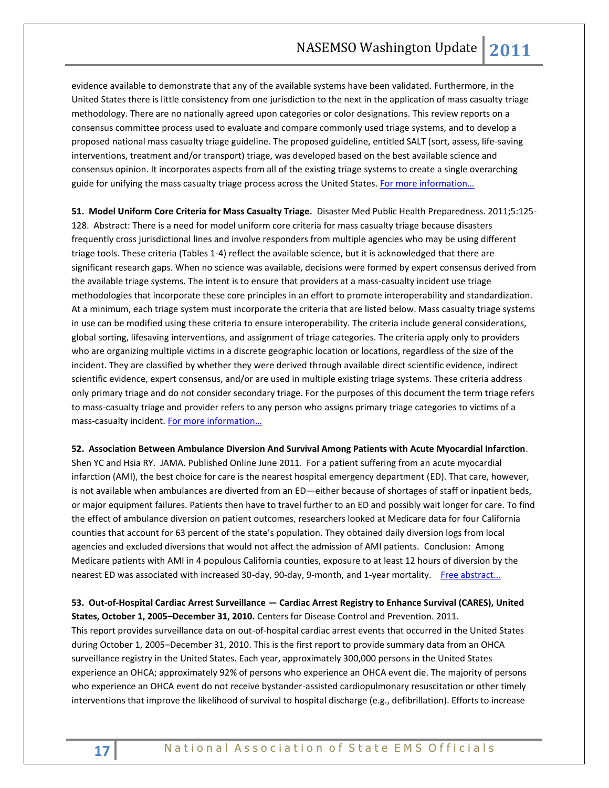evidence available to demonstrate that any of the available systems have been validated. Furthermore, in the United States there is little consistency from one jurisdiction to the next in the application of mass casualty triage methodology. There are no nationally agreed upon categories or color designations. This review reports on a consensus committee process used to evaluate and compare commonly used triage systems, and to develop a proposed national mass casualty triage guideline. The proposed guideline, entitled SALT (sort, assess, life-saving interventions, treatment and/or transport) triage, was developed based on the best available science and consensus opinion. It incorporates aspects from all of the existing triage systems to create a single overarching guide for unifying the mass casualty triage process across the United States. For more information...

**51. Model Uniform Core Criteria for Mass Casualty Triage.** Disaster Med Public Health Preparedness. 2011;5:125- 128. Abstract: There is a need for model uniform core criteria for mass casualty triage because disasters frequently cross jurisdictional lines and involve responders from multiple agencies who may be using different triage tools. These criteria (Tables 1-4) reflect the available science, but it is acknowledged that there are significant research gaps. When no science was available, decisions were formed by expert consensus derived from the available triage systems. The intent is to ensure that providers at a mass-casualty incident use triage methodologies that incorporate these core principles in an effort to promote interoperability and standardization. At a minimum, each triage system must incorporate the criteria that are listed below. Mass casualty triage systems in use can be modified using these criteria to ensure interoperability. The criteria include general considerations, global sorting, lifesaving interventions, and assignment of triage categories. The criteria apply only to providers who are organizing multiple victims in a discrete geographic location or locations, regardless of the size of the incident. They are classified by whether they were derived through available direct scientific evidence, indirect scientific evidence, expert consensus, and/or are used in multiple existing triage systems. These criteria address only primary triage and do not consider secondary triage. For the purposes of this document the term triage refers to mass-casualty triage and provider refers to any person who assigns primary triage categories to victims of a mass-casualty incident. For more information...

#### **52. Association Between Ambulance Diversion And Survival Among Patients with Acute Myocardial Infarction**.

Shen YC and Hsia RY. JAMA. Published Online June 2011. For a patient suffering from an acute myocardial infarction (AMI), the best choice for care is the nearest hospital emergency department (ED). That care, however, is not available when ambulances are diverted from an ED—either because of shortages of staff or inpatient beds, or major equipment failures. Patients then have to travel further to an ED and possibly wait longer for care. To find the effect of ambulance diversion on patient outcomes, researchers looked at Medicare data for four California counties that account for 63 percent of the state's population. They obtained daily diversion logs from local agencies and excluded diversions that would not affect the admission of AMI patients. Conclusion: Among Medicare patients with AMI in 4 populous California counties, exposure to at least 12 hours of diversion by the nearest ED was associated with increased 30-day, 90-day, 9-month, and 1-year mortality. Free abstract...

**53. Out-of-Hospital Cardiac Arrest Surveillance — Cardiac Arrest Registry to Enhance Survival (CARES), United States, October 1, 2005–December 31, 2010.** Centers for Disease Control and Prevention. 2011.

This report provides surveillance data on out-of-hospital cardiac arrest events that occurred in the United States during October 1, 2005–December 31, 2010. This is the first report to provide summary data from an OHCA surveillance registry in the United States. Each year, approximately 300,000 persons in the United States experience an OHCA; approximately 92% of persons who experience an OHCA event die. The majority of persons who experience an OHCA event do not receive bystander-assisted cardiopulmonary resuscitation or other timely interventions that improve the likelihood of survival to hospital discharge (e.g., defibrillation). Efforts to increase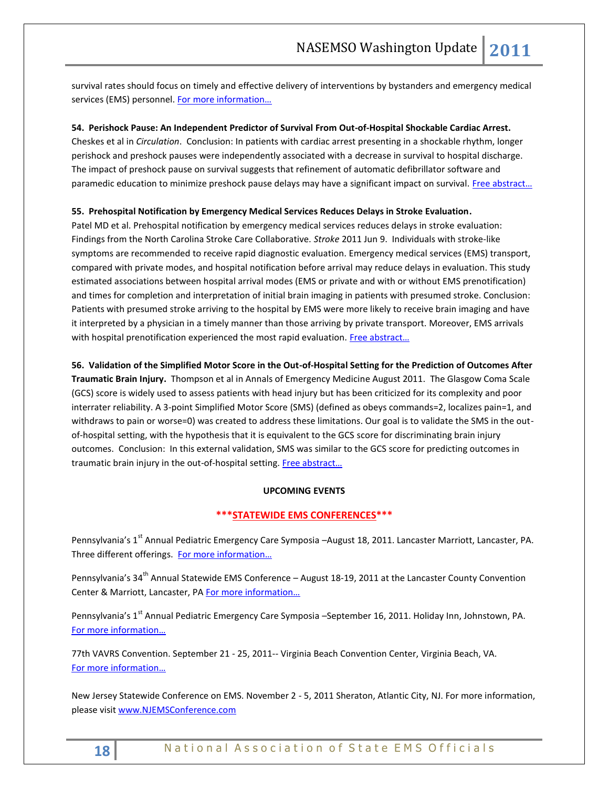survival rates should focus on timely and effective delivery of interventions by bystanders and emergency medical services (EMS) personnel. [For more information…](http://www.cdc.gov/mmwr/preview/mmwrhtml/ss6008a1.htm)

# **54. Perishock Pause: An Independent Predictor of Survival From Out-of-Hospital Shockable Cardiac Arrest.**

Cheskes et al in *Circulation*. Conclusion: In patients with cardiac arrest presenting in a shockable rhythm, longer perishock and preshock pauses were independently associated with a decrease in survival to hospital discharge. The impact of preshock pause on survival suggests that refinement of automatic defibrillator software and paramedic education to minimize preshock pause delays may have a significant impact on survival. Free abstract...

# **55. Prehospital Notification by Emergency Medical Services Reduces Delays in Stroke Evaluation.**

Patel MD et al. Prehospital notification by emergency medical services reduces delays in stroke evaluation: Findings from the North Carolina Stroke Care Collaborative. *Stroke* 2011 Jun 9. Individuals with stroke-like symptoms are recommended to receive rapid diagnostic evaluation. Emergency medical services (EMS) transport, compared with private modes, and hospital notification before arrival may reduce delays in evaluation. This study estimated associations between hospital arrival modes (EMS or private and with or without EMS prenotification) and times for completion and interpretation of initial brain imaging in patients with presumed stroke. Conclusion: Patients with presumed stroke arriving to the hospital by EMS were more likely to receive brain imaging and have it interpreted by a physician in a timely manner than those arriving by private transport. Moreover, EMS arrivals with hospital prenotification experienced the most rapid evaluation. Free abstract...

**56. Validation of the Simplified Motor Score in the Out-of-Hospital Setting for the Prediction of Outcomes After Traumatic Brain Injury.** Thompson et al in Annals of Emergency Medicine August 2011. The Glasgow Coma Scale (GCS) score is widely used to assess patients with head injury but has been criticized for its complexity and poor interrater reliability. A 3-point Simplified Motor Score (SMS) (defined as obeys commands=2, localizes pain=1, and withdraws to pain or worse=0) was created to address these limitations. Our goal is to validate the SMS in the outof-hospital setting, with the hypothesis that it is equivalent to the GCS score for discriminating brain injury outcomes. Conclusion: In this external validation, SMS was similar to the GCS score for predicting outcomes in traumatic brain injury in the out-of-hospital setting. [Free abstract](http://www.annemergmed.com/article/PIIS0196064411006123/abstract)...

# **UPCOMING EVENTS**

# **\*\*\*STATEWIDE EMS CONFERENCES\*\*\***

Pennsylvania's 1<sup>st</sup> Annual Pediatric Emergency Care Symposia –August 18, 2011. Lancaster Marriott, Lancaster, PA. Three different offerings. [For more information…](http://www.pehsc.org/)

Pennsylvania's 34<sup>th</sup> Annual Statewide EMS Conference – August 18-19, 2011 at the Lancaster County Convention Center & Marriott, Lancaster, PA For more information...

Pennsylvania's 1<sup>st</sup> Annual Pediatric Emergency Care Symposia –September 16, 2011. Holiday Inn, Johnstown, PA. [For more information…](http://www.pehsc.org/)

77th VAVRS Convention. September 21 - 25, 2011-- Virginia Beach Convention Center, Virginia Beach, VA. [For more information…](http://www.vavrs.com/)

New Jersey Statewide Conference on EMS. November 2 - 5, 2011 Sheraton, Atlantic City, NJ. For more information, please visit [www.NJEMSConference.com](http://www.njemsconference.com/)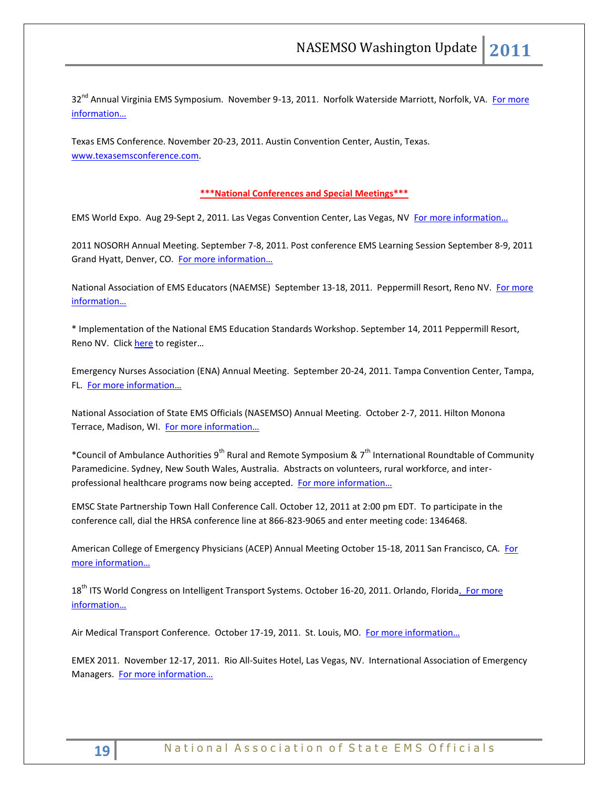32<sup>nd</sup> Annual Virginia EMS Symposium. November 9-13, 2011. Norfolk Waterside Marriott, Norfolk, VA. For more [information…](http://www.vdh.virginia.gov/oems)

Texas EMS Conference. November 20-23, 2011. Austin Convention Center, Austin, Texas. [www.texasemsconference.com.](http://www.texasemsconference.com/)

# **\*\*\*National Conferences and Special Meetings\*\*\***

EMS World Expo. Aug 29-Sept 2, 2011. Las Vegas Convention Center, Las Vegas, NV For more information...

2011 NOSORH Annual Meeting. September 7-8, 2011. Post conference EMS Learning Session September 8-9, 2011 Grand Hyatt, Denver, CO. [For more information…](http://www.nosorh.org/news/events.php)

National Association of EMS Educators (NAEMSE) September 13-18, 2011. Peppermill Resort, Reno NV. For more [information…](http://www.naemse.org/symposium)

\* Implementation of the National EMS Education Standards Workshop. September 14, 2011 Peppermill Resort, Reno NV. Click [here](http://www.naemse.org/attendee-registration/) to register...

Emergency Nurses Association (ENA) Annual Meeting. September 20-24, 2011. Tampa Convention Center, Tampa, FL. [For more information…](http://www.ena.org/Pages/default.aspx)

National Association of State EMS Officials (NASEMSO) Annual Meeting. October 2-7, 2011. Hilton Monona Terrace, Madison, WI. For more information...

\*Council of Ambulance Authorities 9<sup>th</sup> Rural and Remote Symposium & 7<sup>th</sup> International Roundtable of Community Paramedicine. Sydney, New South Wales, Australia. Abstracts on volunteers, rural workforce, and interprofessional healthcare programs now being accepted. [For more information…](http://www.caa.net.au/)

EMSC State Partnership Town Hall Conference Call. October 12, 2011 at 2:00 pm EDT. To participate in the conference call, dial the HRSA conference line at 866-823-9065 and enter meeting code: 1346468.

American College of Emergency Physicians (ACEP) Annual Meeting October 15-18, 2011 San Francisco, CA. [For](http://www.acep.org/)  [more information…](http://www.acep.org/)

18<sup>th</sup> ITS World Congress on Intelligent Transport Systems. October 16-20, 2011. Orlando, Florida. For more [informat](http://www.itsworldcongress.org/)ion…

Air Medical Transport Conference. October 17-19, 2011. St. Louis, MO. [For more information…](http://www.aams.org/)

EMEX 2011. November 12-17, 2011. Rio All-Suites Hotel, Las Vegas, NV. International Association of Emergency Managers. [For more information…](http://www.iaem.com/)